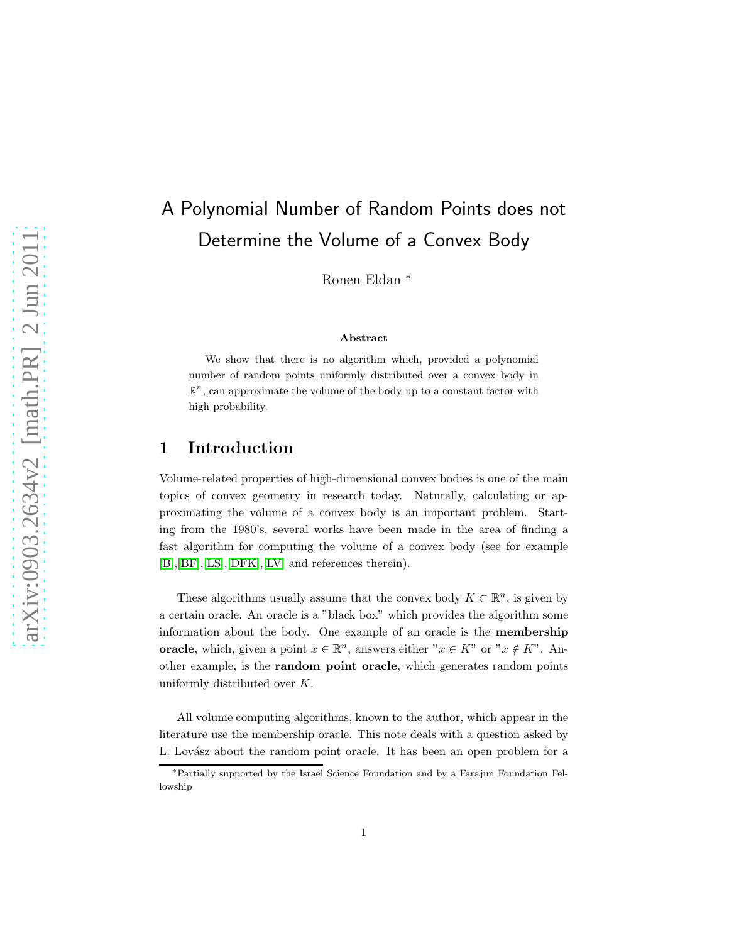# A Polynomial Number of Random Points does not Determine the Volume of a Convex Body

Ronen Eldan <sup>∗</sup>

#### Abstract

We show that there is no algorithm which, provided a polynomial number of random points uniformly distributed over a convex body in  $\mathbb{R}^n$ , can approximate the volume of the body up to a constant factor with high probability.

## 1 Introduction

Volume-related properties of high-dimensional convex bodies is one of the main topics of convex geometry in research today. Naturally, calculating or approximating the volume of a convex body is an important problem. Starting from the 1980's, several works have been made in the area of finding a fast algorithm for computing the volume of a convex body (see for example [\[B\]](#page-20-0),[\[BF\]](#page-20-1),[\[LS\]](#page-21-0),[\[DFK\]](#page-20-2),[\[LV\]](#page-21-1) and references therein).

These algorithms usually assume that the convex body  $K\subset \mathbb{R}^n,$  is given by a certain oracle. An oracle is a "black box" which provides the algorithm some information about the body. One example of an oracle is the membership **oracle**, which, given a point  $x \in \mathbb{R}^n$ , answers either  $x \in K$ " or  $x \notin K$ ". Another example, is the random point oracle, which generates random points uniformly distributed over K.

All volume computing algorithms, known to the author, which appear in the literature use the membership oracle. This note deals with a question asked by L. Lovász about the random point oracle. It has been an open problem for a

<sup>∗</sup>Partially supported by the Israel Science Foundation and by a Farajun Foundation Fellowship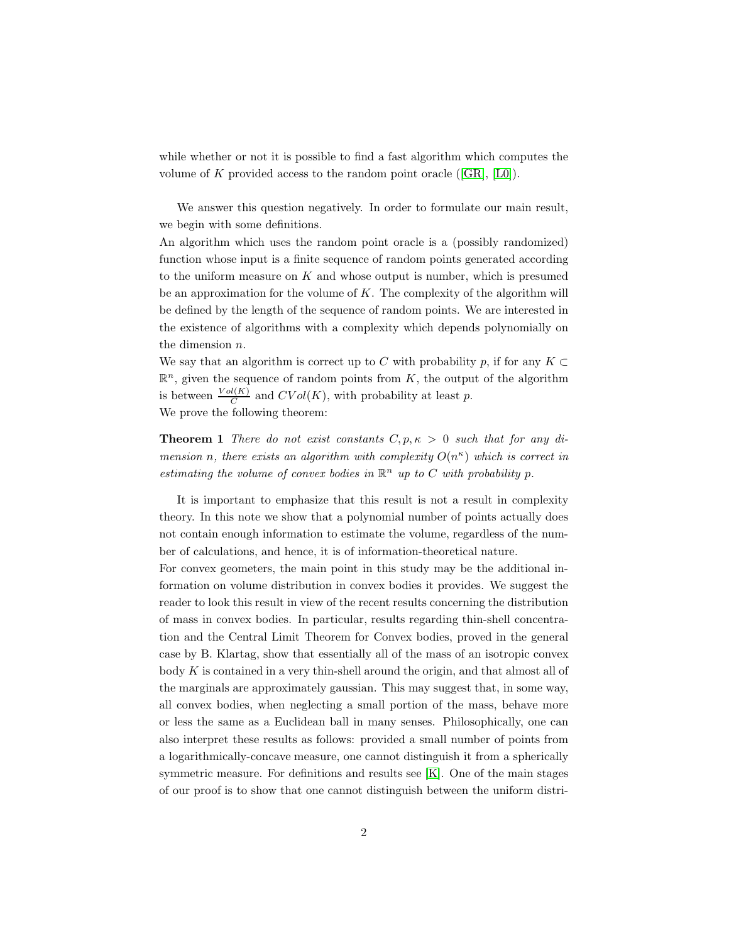while whether or not it is possible to find a fast algorithm which computes the volume of K provided access to the random point oracle  $([GR], [LO])$  $([GR], [LO])$  $([GR], [LO])$ .

We answer this question negatively. In order to formulate our main result, we begin with some definitions.

An algorithm which uses the random point oracle is a (possibly randomized) function whose input is a finite sequence of random points generated according to the uniform measure on  $K$  and whose output is number, which is presumed be an approximation for the volume of  $K$ . The complexity of the algorithm will be defined by the length of the sequence of random points. We are interested in the existence of algorithms with a complexity which depends polynomially on the dimension n.

We say that an algorithm is correct up to C with probability p, if for any  $K \subset$  $\mathbb{R}^n$ , given the sequence of random points from K, the output of the algorithm is between  $\frac{Vol(K)}{C}$  and  $CVol(K)$ , with probability at least p. We prove the following theorem:

**Theorem 1** There do not exist constants  $C, p, \kappa > 0$  such that for any dimension n, there exists an algorithm with complexity  $O(n^{\kappa})$  which is correct in estimating the volume of convex bodies in  $\mathbb{R}^n$  up to C with probability p.

It is important to emphasize that this result is not a result in complexity theory. In this note we show that a polynomial number of points actually does not contain enough information to estimate the volume, regardless of the number of calculations, and hence, it is of information-theoretical nature.

For convex geometers, the main point in this study may be the additional information on volume distribution in convex bodies it provides. We suggest the reader to look this result in view of the recent results concerning the distribution of mass in convex bodies. In particular, results regarding thin-shell concentration and the Central Limit Theorem for Convex bodies, proved in the general case by B. Klartag, show that essentially all of the mass of an isotropic convex body  $K$  is contained in a very thin-shell around the origin, and that almost all of the marginals are approximately gaussian. This may suggest that, in some way, all convex bodies, when neglecting a small portion of the mass, behave more or less the same as a Euclidean ball in many senses. Philosophically, one can also interpret these results as follows: provided a small number of points from a logarithmically-concave measure, one cannot distinguish it from a spherically symmetric measure. For definitions and results see [\[K\]](#page-20-4). One of the main stages of our proof is to show that one cannot distinguish between the uniform distri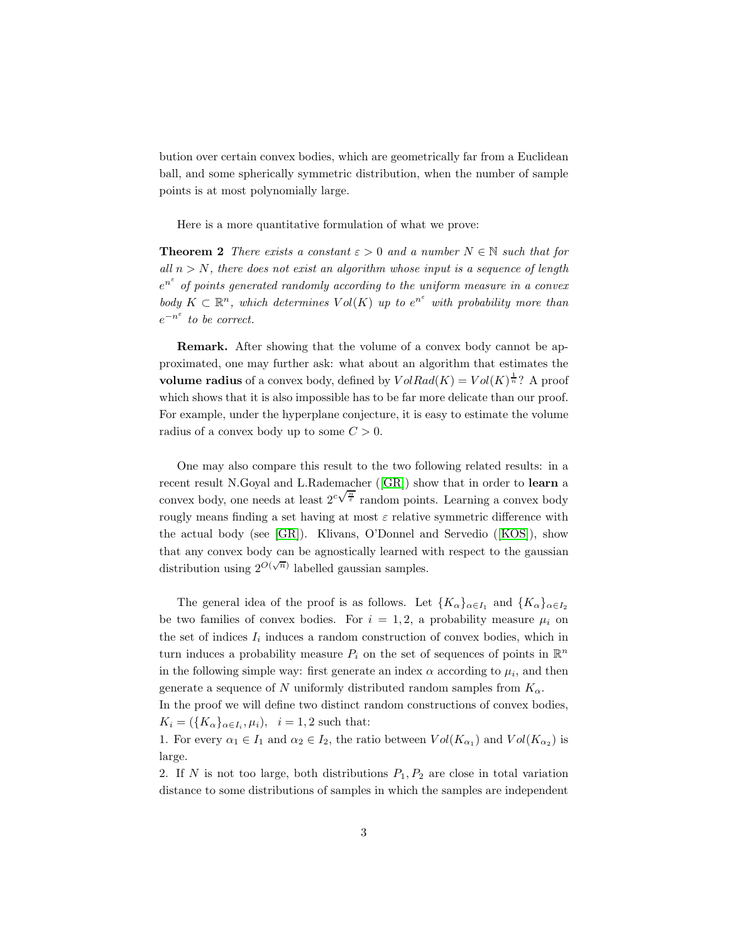bution over certain convex bodies, which are geometrically far from a Euclidean ball, and some spherically symmetric distribution, when the number of sample points is at most polynomially large.

<span id="page-2-0"></span>Here is a more quantitative formulation of what we prove:

**Theorem 2** There exists a constant  $\varepsilon > 0$  and a number  $N \in \mathbb{N}$  such that for all  $n > N$ , there does not exist an algorithm whose input is a sequence of length  $e^{n^{\varepsilon}}$  of points generated randomly according to the uniform measure in a convex body  $K \subset \mathbb{R}^n$ , which determines  $Vol(K)$  up to  $e^{n^{\varepsilon}}$  with probability more than  $e^{-n^{\varepsilon}}$  to be correct.

Remark. After showing that the volume of a convex body cannot be approximated, one may further ask: what about an algorithm that estimates the volume radius of a convex body, defined by  $VolRad(K) = Vol(K)^{\frac{1}{n}}$ ? A proof which shows that it is also impossible has to be far more delicate than our proof. For example, under the hyperplane conjecture, it is easy to estimate the volume radius of a convex body up to some  $C > 0$ .

One may also compare this result to the two following related results: in a recent result N.Goyal and L.Rademacher ([\[GR\]](#page-20-3)) show that in order to learn a convex body, one needs at least  $2^{c\sqrt{\frac{n}{\epsilon}}}$  random points. Learning a convex body rougly means finding a set having at most  $\varepsilon$  relative symmetric difference with the actual body (see [\[GR\]](#page-20-3)). Klivans, O'Donnel and Servedio ([\[KOS\]](#page-20-5)), show that any convex body can be agnostically learned with respect to the gaussian distribution using  $2^{O(\sqrt{n})}$  labelled gaussian samples.

The general idea of the proof is as follows. Let  ${K_{\alpha}}_{\alpha\in I_1}$  and  ${K_{\alpha}}_{\alpha\in I_2}$ be two families of convex bodies. For  $i = 1, 2$ , a probability measure  $\mu_i$  on the set of indices  $I_i$  induces a random construction of convex bodies, which in turn induces a probability measure  $P_i$  on the set of sequences of points in  $\mathbb{R}^n$ in the following simple way: first generate an index  $\alpha$  according to  $\mu_i$ , and then generate a sequence of N uniformly distributed random samples from  $K_{\alpha}$ .

In the proof we will define two distinct random constructions of convex bodies,  $K_i = (\lbrace K_\alpha \rbrace_{\alpha \in I_i}, \mu_i), \quad i = 1, 2$  such that:

1. For every  $\alpha_1 \in I_1$  and  $\alpha_2 \in I_2$ , the ratio between  $Vol(K_{\alpha_1})$  and  $Vol(K_{\alpha_2})$  is large.

2. If N is not too large, both distributions  $P_1, P_2$  are close in total variation distance to some distributions of samples in which the samples are independent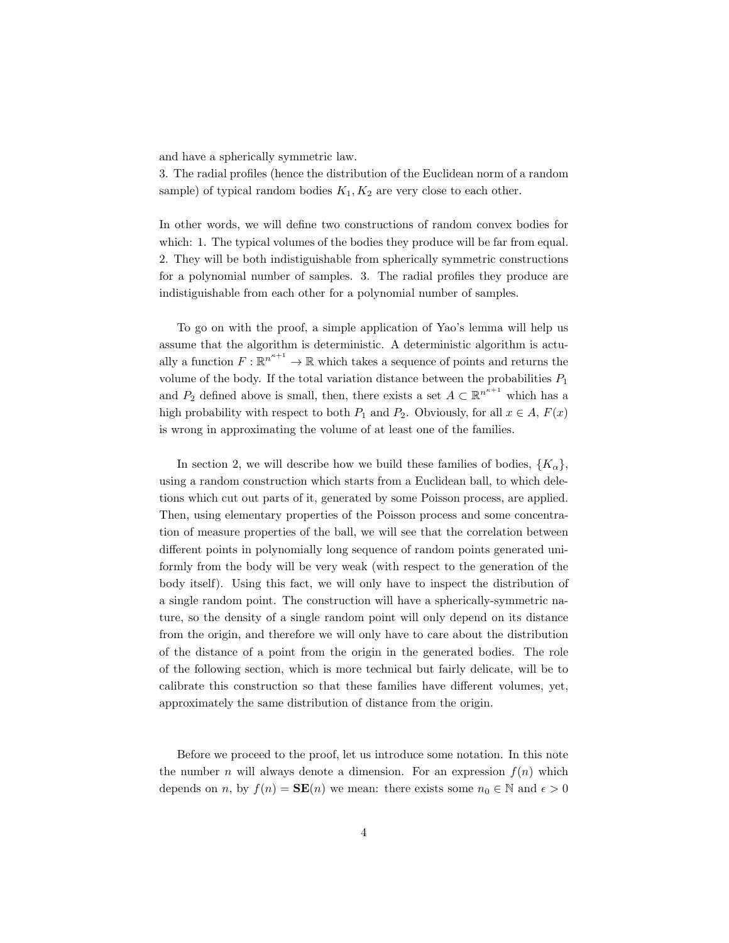and have a spherically symmetric law.

3. The radial profiles (hence the distribution of the Euclidean norm of a random sample) of typical random bodies  $K_1, K_2$  are very close to each other.

In other words, we will define two constructions of random convex bodies for which: 1. The typical volumes of the bodies they produce will be far from equal. 2. They will be both indistiguishable from spherically symmetric constructions for a polynomial number of samples. 3. The radial profiles they produce are indistiguishable from each other for a polynomial number of samples.

To go on with the proof, a simple application of Yao's lemma will help us assume that the algorithm is deterministic. A deterministic algorithm is actually a function  $F: \mathbb{R}^{n^{\kappa+1}} \to \mathbb{R}$  which takes a sequence of points and returns the volume of the body. If the total variation distance between the probabilities  $P_1$ and  $P_2$  defined above is small, then, there exists a set  $A \subset \mathbb{R}^{n^{\kappa+1}}$  which has a high probability with respect to both  $P_1$  and  $P_2$ . Obviously, for all  $x \in A$ ,  $F(x)$ is wrong in approximating the volume of at least one of the families.

In section 2, we will describe how we build these families of bodies,  ${K_{\alpha}}$ , using a random construction which starts from a Euclidean ball, to which deletions which cut out parts of it, generated by some Poisson process, are applied. Then, using elementary properties of the Poisson process and some concentration of measure properties of the ball, we will see that the correlation between different points in polynomially long sequence of random points generated uniformly from the body will be very weak (with respect to the generation of the body itself). Using this fact, we will only have to inspect the distribution of a single random point. The construction will have a spherically-symmetric nature, so the density of a single random point will only depend on its distance from the origin, and therefore we will only have to care about the distribution of the distance of a point from the origin in the generated bodies. The role of the following section, which is more technical but fairly delicate, will be to calibrate this construction so that these families have different volumes, yet, approximately the same distribution of distance from the origin.

Before we proceed to the proof, let us introduce some notation. In this note the number *n* will always denote a dimension. For an expression  $f(n)$  which depends on n, by  $f(n) = \mathbf{SE}(n)$  we mean: there exists some  $n_0 \in \mathbb{N}$  and  $\epsilon > 0$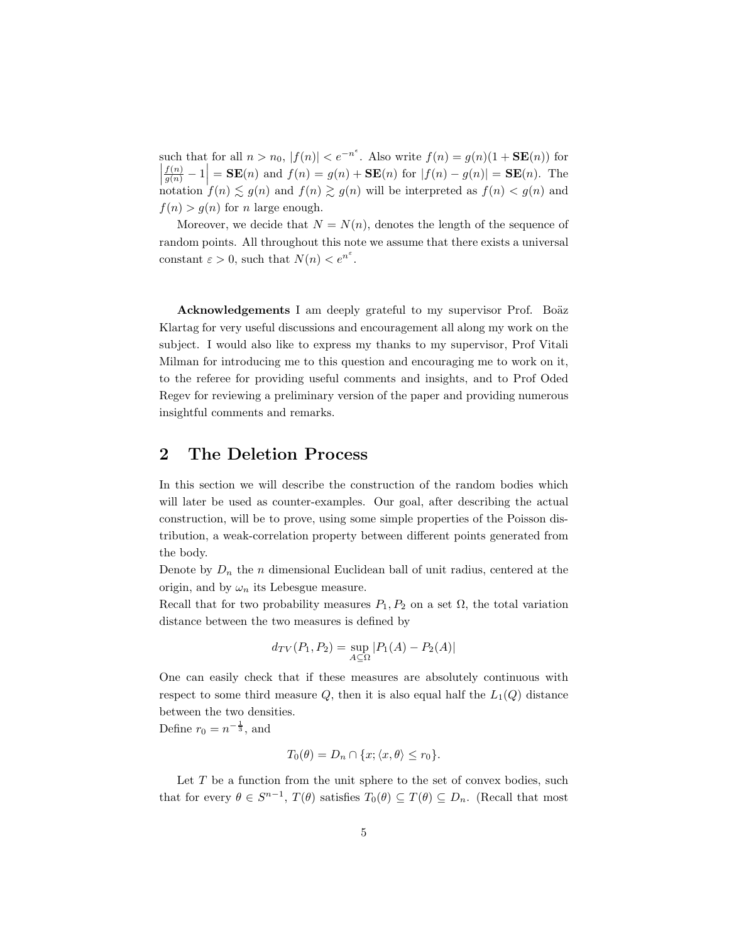such that for all  $n > n_0$ ,  $|f(n)| < e^{-n^{\epsilon}}$ . Also write  $f(n) = g(n)(1 + \mathbf{SE}(n))$  for  $\left|\frac{f(n)}{g(n)}-1\right| = \mathbf{SE}(n)$  and  $f(n) = g(n) + \mathbf{SE}(n)$  for  $|f(n) - g(n)| = \mathbf{SE}(n)$ . The  $\begin{cases} g(n) \\ \text{notation } f(n) \leq g(n) \text{ and } f(n) \geq g(n) \text{ will be interpreted as } f(n) < g(n) \text{ and } g(n) \leq g(n) \end{cases}$  $f(n) > g(n)$  for n large enough.

Moreover, we decide that  $N = N(n)$ , denotes the length of the sequence of random points. All throughout this note we assume that there exists a universal constant  $\varepsilon > 0$ , such that  $N(n) < e^{n^{\varepsilon}}$ .

Acknowledgements I am deeply grateful to my supervisor Prof. Boäz Klartag for very useful discussions and encouragement all along my work on the subject. I would also like to express my thanks to my supervisor, Prof Vitali Milman for introducing me to this question and encouraging me to work on it, to the referee for providing useful comments and insights, and to Prof Oded Regev for reviewing a preliminary version of the paper and providing numerous insightful comments and remarks.

## 2 The Deletion Process

In this section we will describe the construction of the random bodies which will later be used as counter-examples. Our goal, after describing the actual construction, will be to prove, using some simple properties of the Poisson distribution, a weak-correlation property between different points generated from the body.

Denote by  $D_n$  the n dimensional Euclidean ball of unit radius, centered at the origin, and by  $\omega_n$  its Lebesgue measure.

Recall that for two probability measures  $P_1, P_2$  on a set  $\Omega$ , the total variation distance between the two measures is defined by

$$
d_{TV}(P_1, P_2) = \sup_{A \subseteq \Omega} |P_1(A) - P_2(A)|
$$

One can easily check that if these measures are absolutely continuous with respect to some third measure  $Q$ , then it is also equal half the  $L_1(Q)$  distance between the two densities.

Define  $r_0 = n^{-\frac{1}{3}}$ , and

$$
T_0(\theta) = D_n \cap \{x; \langle x, \theta \rangle \le r_0\}.
$$

Let  $T$  be a function from the unit sphere to the set of convex bodies, such that for every  $\theta \in S^{n-1}$ ,  $T(\theta)$  satisfies  $T_0(\theta) \subseteq T(\theta) \subseteq D_n$ . (Recall that most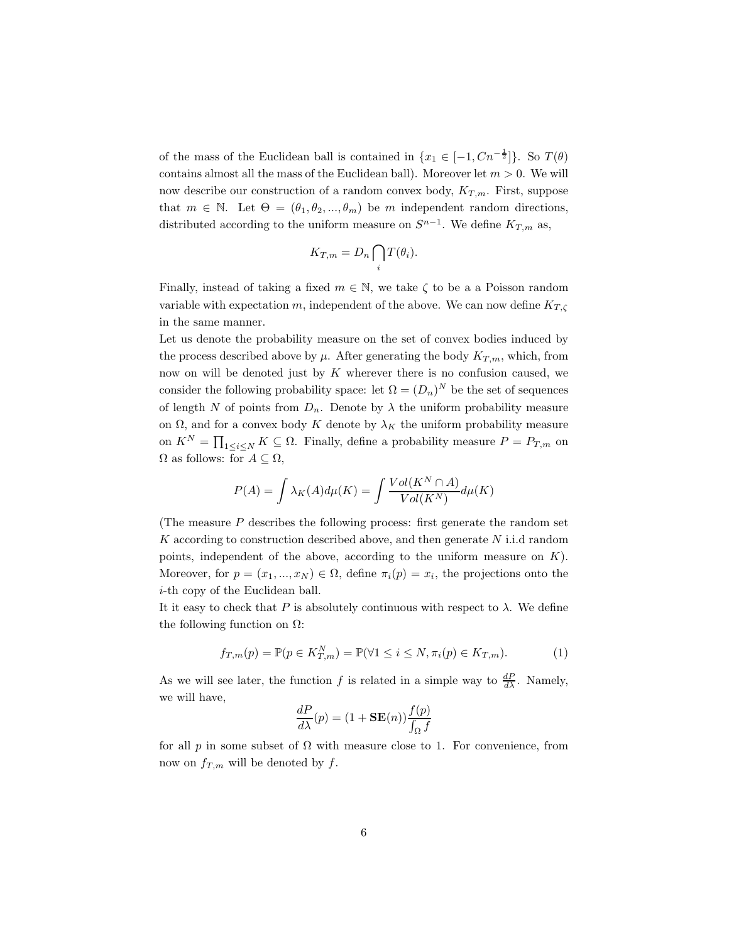of the mass of the Euclidean ball is contained in  $\{x_1 \in [-1, Cn^{-\frac{1}{2}}]\}$ . So  $T(\theta)$ contains almost all the mass of the Euclidean ball). Moreover let  $m > 0$ . We will now describe our construction of a random convex body,  $K_{T,m}$ . First, suppose that  $m \in \mathbb{N}$ . Let  $\Theta = (\theta_1, \theta_2, ..., \theta_m)$  be m independent random directions, distributed according to the uniform measure on  $S^{n-1}$ . We define  $K_{T,m}$  as,

$$
K_{T,m}=D_n\bigcap_i T(\theta_i).
$$

Finally, instead of taking a fixed  $m \in \mathbb{N}$ , we take  $\zeta$  to be a a Poisson random variable with expectation m, independent of the above. We can now define  $K_{T,\zeta}$ in the same manner.

Let us denote the probability measure on the set of convex bodies induced by the process described above by  $\mu$ . After generating the body  $K_{T,m}$ , which, from now on will be denoted just by  $K$  wherever there is no confusion caused, we consider the following probability space: let  $\Omega = (D_n)^N$  be the set of sequences of length N of points from  $D_n$ . Denote by  $\lambda$  the uniform probability measure on  $\Omega$ , and for a convex body K denote by  $\lambda_K$  the uniform probability measure on  $K^N = \prod_{1 \leq i \leq N} K \subseteq \Omega$ . Finally, define a probability measure  $P = P_{T,m}$  on  $\Omega$  as follows: for  $A \subseteq \Omega$ ,

$$
P(A) = \int \lambda_K(A) d\mu(K) = \int \frac{Vol(K^N \cap A)}{Vol(K^N)} d\mu(K)
$$

(The measure  $P$  describes the following process: first generate the random set  $K$  according to construction described above, and then generate  $N$  i.i.d random points, independent of the above, according to the uniform measure on  $K$ ). Moreover, for  $p = (x_1, ..., x_N) \in \Omega$ , define  $\pi_i(p) = x_i$ , the projections onto the i-th copy of the Euclidean ball.

It it easy to check that P is absolutely continuous with respect to  $\lambda$ . We define the following function on  $\Omega$ :

<span id="page-5-0"></span>
$$
f_{T,m}(p) = \mathbb{P}(p \in K_{T,m}^N) = \mathbb{P}(\forall 1 \le i \le N, \pi_i(p) \in K_{T,m}).
$$
\n(1)

As we will see later, the function f is related in a simple way to  $\frac{dP}{d\lambda}$ . Namely, we will have,

$$
\frac{dP}{d\lambda}(p) = (1 + \mathbf{SE}(n)) \frac{f(p)}{\int_{\Omega} f}
$$

for all p in some subset of  $\Omega$  with measure close to 1. For convenience, from now on  $f_{T,m}$  will be denoted by f.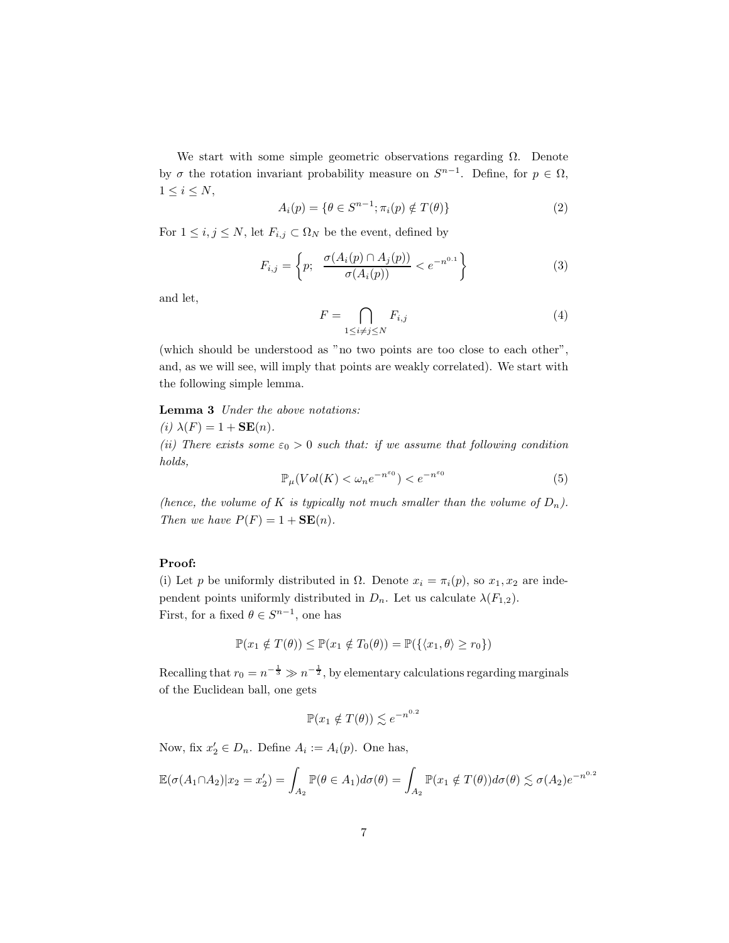We start with some simple geometric observations regarding  $\Omega$ . Denote by  $\sigma$  the rotation invariant probability measure on  $S^{n-1}$ . Define, for  $p \in \Omega$ ,  $1 \leq i \leq N$ ,

<span id="page-6-1"></span>
$$
A_i(p) = \{ \theta \in S^{n-1}; \pi_i(p) \notin T(\theta) \}
$$
 (2)

For  $1 \leq i, j \leq N$ , let  $F_{i,j} \subset \Omega_N$  be the event, defined by

$$
F_{i,j} = \left\{ p; \frac{\sigma(A_i(p) \cap A_j(p))}{\sigma(A_i(p))} < e^{-n^{0.1}} \right\} \tag{3}
$$

and let,

<span id="page-6-2"></span>
$$
F = \bigcap_{1 \le i \ne j \le N} F_{i,j} \tag{4}
$$

(which should be understood as "no two points are too close to each other", and, as we will see, will imply that points are weakly correlated). We start with the following simple lemma.

#### Lemma 3 Under the above notations:

(i)  $\lambda(F) = 1 + \mathbf{SE}(n)$ .

(ii) There exists some  $\varepsilon_0 > 0$  such that: if we assume that following condition holds,

<span id="page-6-0"></span>
$$
\mathbb{P}_{\mu}(Vol(K) < \omega_n e^{-n^{\varepsilon_0}}) < e^{-n^{\varepsilon_0}} \tag{5}
$$

(hence, the volume of K is typically not much smaller than the volume of  $D_n$ ). Then we have  $P(F) = 1 + \mathbf{SE}(n)$ .

### Proof:

(i) Let p be uniformly distributed in  $\Omega$ . Denote  $x_i = \pi_i(p)$ , so  $x_1, x_2$  are independent points uniformly distributed in  $D_n$ . Let us calculate  $\lambda(F_{1,2})$ . First, for a fixed  $\theta \in S^{n-1}$ , one has

$$
\mathbb{P}(x_1 \notin T(\theta)) \le \mathbb{P}(x_1 \notin T_0(\theta)) = \mathbb{P}(\{\langle x_1, \theta \rangle \ge r_0\})
$$

Recalling that  $r_0 = n^{-\frac{1}{3}} \gg n^{-\frac{1}{2}}$ , by elementary calculations regarding marginals of the Euclidean ball, one gets

$$
\mathbb{P}(x_1 \notin T(\theta)) \lesssim e^{-n^{0.2}}
$$

Now, fix  $x_2' \in D_n$ . Define  $A_i := A_i(p)$ . One has,

$$
\mathbb{E}(\sigma(A_1 \cap A_2)|x_2 = x_2') = \int_{A_2} \mathbb{P}(\theta \in A_1) d\sigma(\theta) = \int_{A_2} \mathbb{P}(x_1 \notin T(\theta)) d\sigma(\theta) \lesssim \sigma(A_2) e^{-n^{0.2}}
$$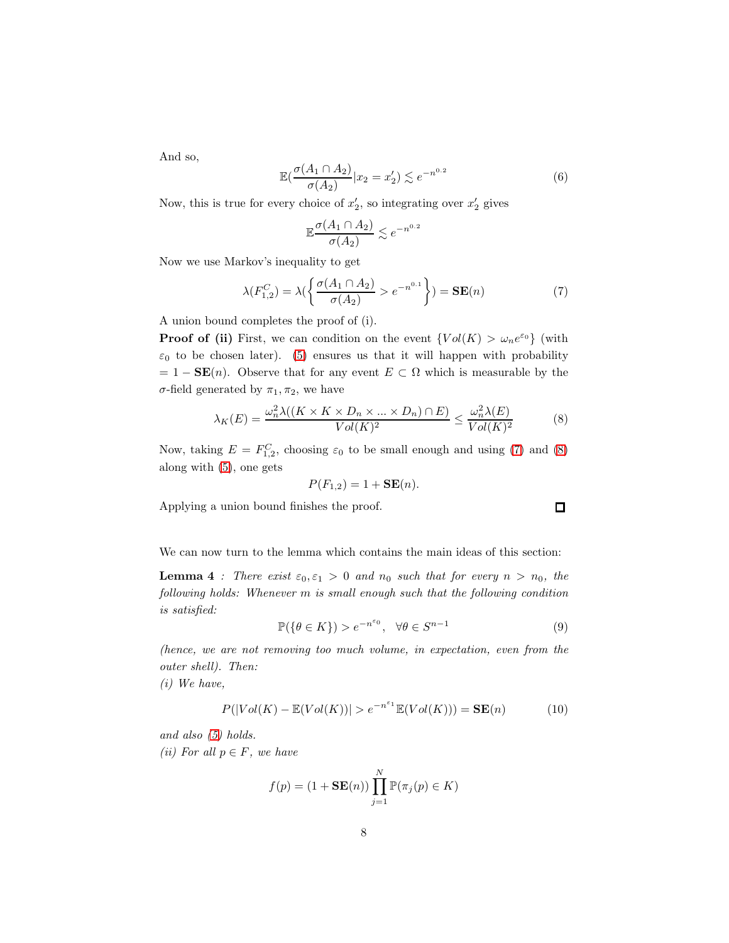And so,

$$
\mathbb{E}\left(\frac{\sigma(A_1 \cap A_2)}{\sigma(A_2)} | x_2 = x_2' \right) \lesssim e^{-n^{0.2}} \tag{6}
$$

Now, this is true for every choice of  $x'_2$ , so integrating over  $x'_2$  gives

$$
\mathbb{E}\frac{\sigma(A_1 \cap A_2)}{\sigma(A_2)} \lesssim e^{-n^{0.2}}
$$

Now we use Markov's inequality to get

<span id="page-7-0"></span>
$$
\lambda(F_{1,2}^C) = \lambda(\left\{\frac{\sigma(A_1 \cap A_2)}{\sigma(A_2)} > e^{-n^{0.1}}\right\}) = \mathbf{SE}(n)
$$
 (7)

A union bound completes the proof of (i).

**Proof of (ii)** First, we can condition on the event  $\{Vol(K) > \omega_n e^{\varepsilon_0}\}\$  (with  $\varepsilon_0$  to be chosen later). [\(5\)](#page-6-0) ensures us that it will happen with probability  $= 1 - SE(n)$ . Observe that for any event  $E \subset \Omega$  which is measurable by the σ-field generated by  $\pi_1$ ,  $\pi_2$ , we have

<span id="page-7-1"></span>
$$
\lambda_K(E) = \frac{\omega_n^2 \lambda((K \times K \times D_n \times \dots \times D_n) \cap E)}{Vol(K)^2} \le \frac{\omega_n^2 \lambda(E)}{Vol(K)^2} \tag{8}
$$

Now, taking  $E = F_{1,2}^C$ , choosing  $\varepsilon_0$  to be small enough and using [\(7\)](#page-7-0) and [\(8\)](#page-7-1) along with [\(5\)](#page-6-0), one gets

$$
P(F_{1,2}) = 1 + \mathbf{SE}(n).
$$

Applying a union bound finishes the proof.

We can now turn to the lemma which contains the main ideas of this section:

**Lemma 4** : There exist  $\varepsilon_0, \varepsilon_1 > 0$  and  $n_0$  such that for every  $n > n_0$ , the following holds: Whenever m is small enough such that the following condition is satisfied:

<span id="page-7-2"></span>
$$
\mathbb{P}(\{\theta \in K\}) > e^{-n^{\varepsilon_0}}, \quad \forall \theta \in S^{n-1}
$$
 (9)

(hence, we are not removing too much volume, in expectation, even from the outer shell). Then:

(i) We have,

<span id="page-7-4"></span>
$$
P(|Vol(K) - \mathbb{E}(Vol(K))| > e^{-n^{\varepsilon_1}} \mathbb{E}(Vol(K))) = \mathbf{SE}(n)
$$
 (10)

and also [\(5\)](#page-6-0) holds.

(ii) For all  $p \in F$ , we have

$$
f(p) = (1 + \mathbf{SE}(n)) \prod_{j=1}^{N} \mathbb{P}(\pi_j(p) \in K)
$$

<span id="page-7-3"></span> $\Box$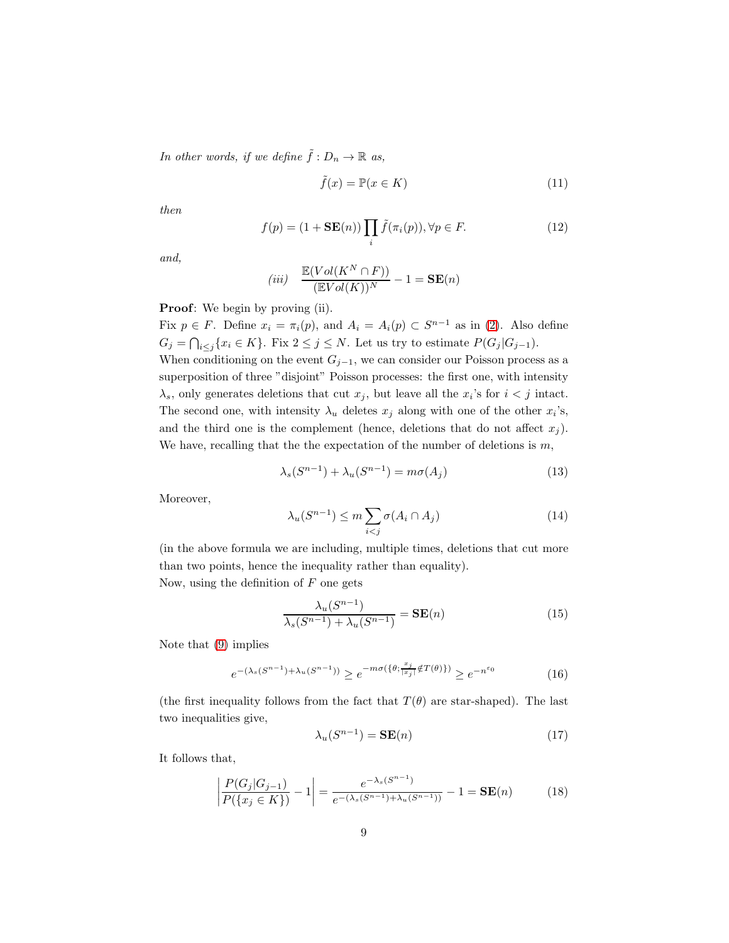In other words, if we define  $\tilde{f}: D_n \to \mathbb{R}$  as,

<span id="page-8-1"></span>
$$
\tilde{f}(x) = \mathbb{P}(x \in K) \tag{11}
$$

then

<span id="page-8-2"></span>
$$
f(p) = (1 + \mathbf{SE}(n)) \prod_{i} \tilde{f}(\pi_i(p)), \forall p \in F.
$$
 (12)

and,

$$
(iii) \quad \frac{\mathbb{E}(Vol(K^N \cap F))}{(\mathbb{E}Vol(K))^N} - 1 = \mathbf{SE}(n)
$$

Proof: We begin by proving (ii).

Fix  $p \in F$ . Define  $x_i = \pi_i(p)$ , and  $A_i = A_i(p) \subset S^{n-1}$  as in [\(2\)](#page-6-1). Also define  $G_j = \bigcap_{i \leq j} \{x_i \in K\}$ . Fix  $2 \leq j \leq N$ . Let us try to estimate  $P(G_j | G_{j-1})$ .

When conditioning on the event  $G_{j-1}$ , we can consider our Poisson process as a superposition of three "disjoint" Poisson processes: the first one, with intensity  $\lambda_s$ , only generates deletions that cut  $x_j$ , but leave all the  $x_i$ 's for  $i < j$  intact. The second one, with intensity  $\lambda_u$  deletes  $x_j$  along with one of the other  $x_i$ 's, and the third one is the complement (hence, deletions that do not affect  $x_i$ ). We have, recalling that the the expectation of the number of deletions is  $m$ ,

$$
\lambda_s(S^{n-1}) + \lambda_u(S^{n-1}) = m\sigma(A_j)
$$
\n(13)

Moreover,

$$
\lambda_u(S^{n-1}) \le m \sum_{i < j} \sigma(A_i \cap A_j) \tag{14}
$$

(in the above formula we are including, multiple times, deletions that cut more than two points, hence the inequality rather than equality). Now, using the definition of  $F$  one gets

$$
\frac{\lambda_u(S^{n-1})}{\lambda_s(S^{n-1}) + \lambda_u(S^{n-1})} = \mathbf{SE}(n)
$$
\n(15)

Note that [\(9\)](#page-7-2) implies

$$
e^{-(\lambda_s(S^{n-1}) + \lambda_u(S^{n-1}))} \ge e^{-m\sigma(\{\theta; \frac{x_j}{|x_j|} \notin T(\theta)\})} \ge e^{-n^{\varepsilon_0}}
$$
(16)

(the first inequality follows from the fact that  $T(\theta)$  are star-shaped). The last two inequalities give,

$$
\lambda_u(S^{n-1}) = \mathbf{SE}(n) \tag{17}
$$

It follows that,

<span id="page-8-0"></span>
$$
\left| \frac{P(G_j|G_{j-1})}{P(\lbrace x_j \in K \rbrace)} - 1 \right| = \frac{e^{-\lambda_s(S^{n-1})}}{e^{-(\lambda_s(S^{n-1}) + \lambda_u(S^{n-1}))}} - 1 = \mathbf{SE}(n)
$$
(18)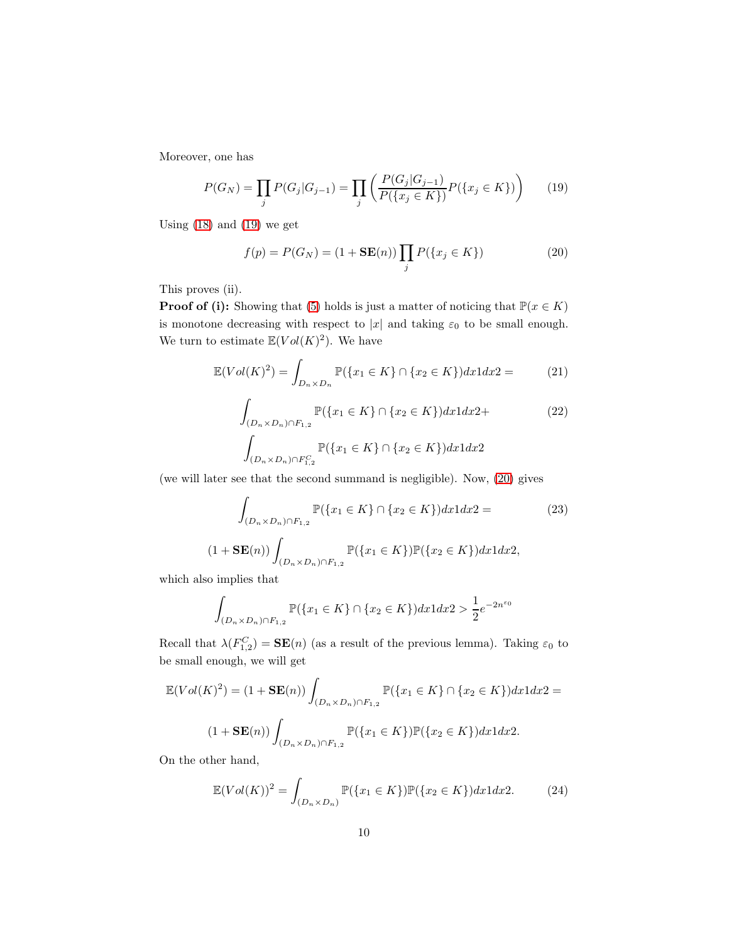Moreover, one has

<span id="page-9-0"></span>
$$
P(G_N) = \prod_j P(G_j | G_{j-1}) = \prod_j \left( \frac{P(G_j | G_{j-1})}{P(\{x_j \in K\})} P(\{x_j \in K\}) \right) \tag{19}
$$

Using [\(18\)](#page-8-0) and [\(19\)](#page-9-0) we get

<span id="page-9-1"></span>
$$
f(p) = P(G_N) = (1 + \mathbf{SE}(n)) \prod_j P(\{x_j \in K\})
$$
 (20)

This proves (ii).

**Proof of (i):** Showing that [\(5\)](#page-6-0) holds is just a matter of noticing that  $\mathbb{P}(x \in K)$ is monotone decreasing with respect to  $|x|$  and taking  $\varepsilon_0$  to be small enough. We turn to estimate  $\mathbb{E}(Vol(K)^2)$ . We have

$$
\mathbb{E}(Vol(K)^{2}) = \int_{D_{n} \times D_{n}} \mathbb{P}(\{x_{1} \in K\} \cap \{x_{2} \in K\}) dx 1 dx 2 = \tag{21}
$$

$$
\int_{(D_n \times D_n) \cap F_{1,2}} \mathbb{P}(\{x_1 \in K\} \cap \{x_2 \in K\}) dx 1 dx 2 +
$$
\n
$$
\int_{(D_n \times D_n) \cap F_{1,2}^C} \mathbb{P}(\{x_1 \in K\} \cap \{x_2 \in K\}) dx 1 dx 2
$$
\n(22)

(we will later see that the second summand is negligible). Now, [\(20\)](#page-9-1) gives

$$
\int_{(D_n \times D_n) \cap F_{1,2}} \mathbb{P}(\{x_1 \in K\} \cap \{x_2 \in K\}) dx 1 dx 2 =
$$
\n
$$
(1 + \mathbf{SE}(n)) \int_{(D_n \times D_n) \cap F_{1,2}} \mathbb{P}(\{x_1 \in K\}) \mathbb{P}(\{x_2 \in K\}) dx 1 dx 2,
$$
\n(23)

which also implies that

$$
\int_{(D_n \times D_n) \cap F_{1,2}} \mathbb{P}(\{x_1 \in K\} \cap \{x_2 \in K\}) dx 1 dx 2 > \frac{1}{2} e^{-2n^{\varepsilon_0}}
$$

Recall that  $\lambda(F_{1,2}^C) = \mathbf{SE}(n)$  (as a result of the previous lemma). Taking  $\varepsilon_0$  to be small enough, we will get

$$
\mathbb{E}(Vol(K)^2) = (1 + \mathbf{SE}(n)) \int_{(D_n \times D_n) \cap F_{1,2}} \mathbb{P}(\{x_1 \in K\} \cap \{x_2 \in K\}) dx 1 dx 2 =
$$
  

$$
(1 + \mathbf{SE}(n)) \int_{(D_n \times D_n) \cap F_{1,2}} \mathbb{P}(\{x_1 \in K\}) \mathbb{P}(\{x_2 \in K\}) dx 1 dx 2.
$$

On the other hand,

$$
\mathbb{E}(Vol(K))^2 = \int_{(D_n \times D_n)} \mathbb{P}(\{x_1 \in K\}) \mathbb{P}(\{x_2 \in K\}) dx 1 dx 2. \tag{24}
$$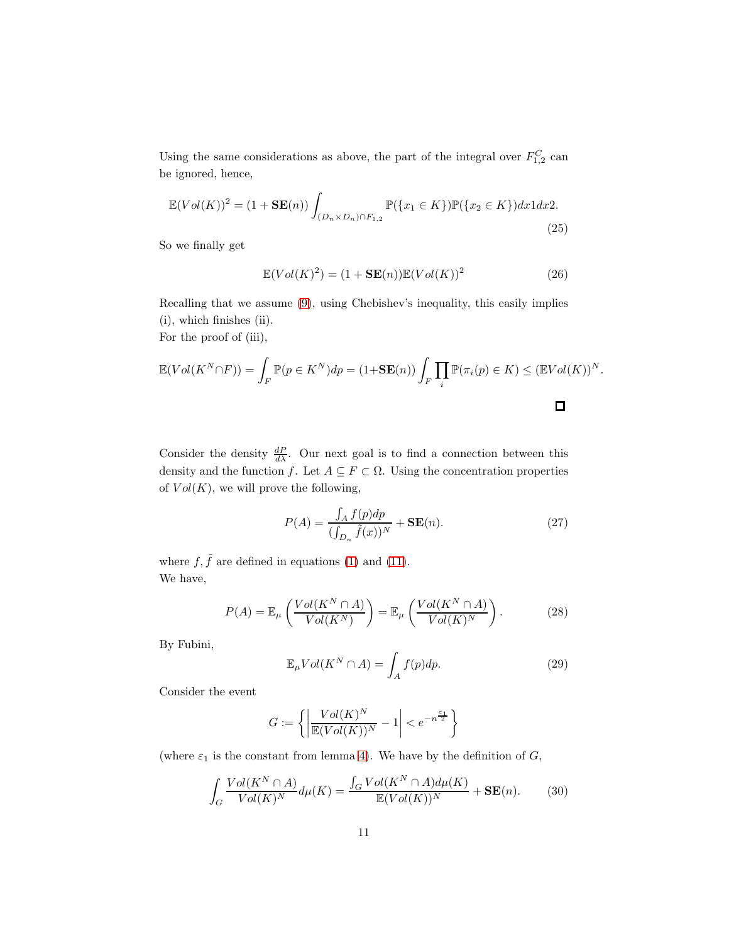Using the same considerations as above, the part of the integral over  $F_{1,2}^C$  can be ignored, hence,

$$
\mathbb{E}(Vol(K))^{2} = (1 + \mathbf{SE}(n)) \int_{(D_{n} \times D_{n}) \cap F_{1,2}} \mathbb{P}(\{x_{1} \in K\}) \mathbb{P}(\{x_{2} \in K\}) dx 1 dx 2.
$$
\n(25)

So we finally get

$$
\mathbb{E}(Vol(K)^{2}) = (1 + \mathbf{SE}(n))\mathbb{E}(Vol(K))^{2}
$$
\n(26)

Recalling that we assume [\(9\)](#page-7-2), using Chebishev's inequality, this easily implies (i), which finishes (ii).

For the proof of (iii),

$$
\mathbb{E}(Vol(K^N \cap F)) = \int_F \mathbb{P}(p \in K^N) dp = (1 + \mathbf{SE}(n)) \int_F \prod_i \mathbb{P}(\pi_i(p) \in K) \leq (\mathbb{E} Vol(K))^N.
$$

Consider the density  $\frac{dP}{d\lambda}$ . Our next goal is to find a connection between this density and the function f. Let  $A \subseteq F \subset \Omega$ . Using the concentration properties of  $Vol(K)$ , we will prove the following,

<span id="page-10-3"></span>
$$
P(A) = \frac{\int_A f(p) dp}{(\int_{D_n} \tilde{f}(x))^N} + \mathbf{SE}(n). \tag{27}
$$

where  $f, \tilde{f}$  are defined in equations [\(1\)](#page-5-0) and [\(11\)](#page-8-1). We have,

<span id="page-10-0"></span>
$$
P(A) = \mathbb{E}_{\mu} \left( \frac{Vol(K^N \cap A)}{Vol(K^N)} \right) = \mathbb{E}_{\mu} \left( \frac{Vol(K^N \cap A)}{Vol(K)^N} \right). \tag{28}
$$

By Fubini,

<span id="page-10-2"></span>
$$
\mathbb{E}_{\mu} Vol(K^N \cap A) = \int_A f(p) dp.
$$
 (29)

Consider the event

$$
G := \left\{ \left| \frac{Vol(K)^N}{\mathbb{E}(Vol(K))^N} - 1 \right| < e^{-n^{\frac{\varepsilon_1}{2}}} \right\}
$$

(where  $\varepsilon_1$  is the constant from lemma [4\)](#page-7-3). We have by the definition of  $G$ ,

<span id="page-10-1"></span>
$$
\int_{G} \frac{Vol(K^{N} \cap A)}{Vol(K)^{N}} d\mu(K) = \frac{\int_{G} Vol(K^{N} \cap A) d\mu(K)}{\mathbb{E}(Vol(K))^{N}} + \mathbf{SE}(n).
$$
 (30)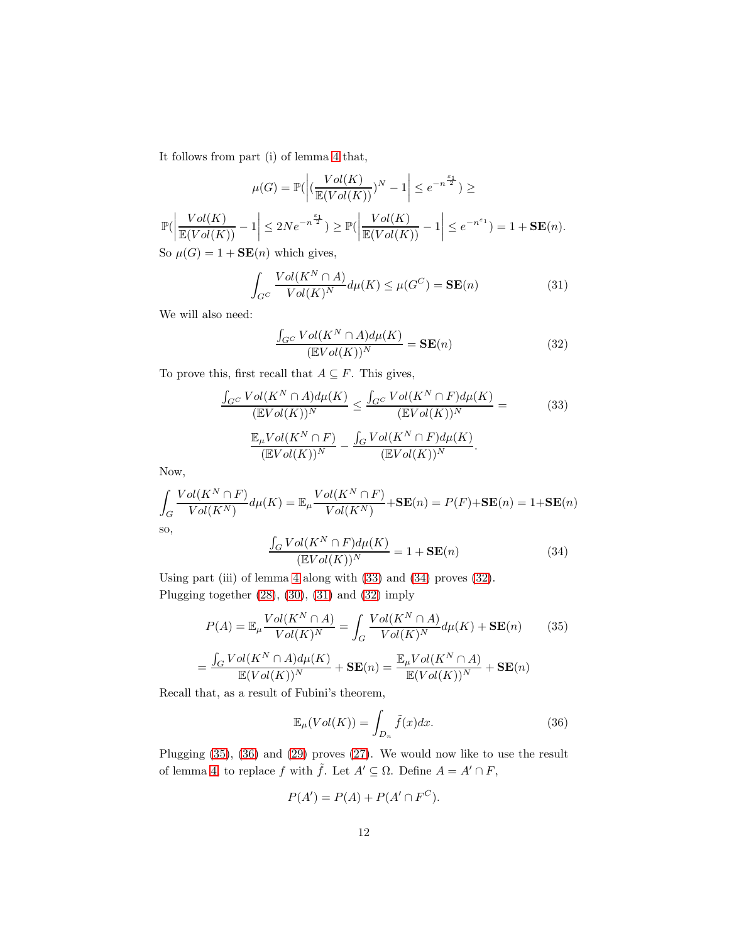It follows from part (i) of lemma [4](#page-7-3) that,

$$
\mu(G) = \mathbb{P}\left|\left|\left(\frac{Vol(K)}{\mathbb{E}(Vol(K))}\right)^N - 1\right| \le e^{-n^{\frac{\varepsilon_1}{2}}}\right| \ge
$$

$$
\mathbb{P}\left|\left|\frac{Vol(K)}{\mathbb{E}(Vol(K))} - 1\right| \le 2Ne^{-n^{\frac{\varepsilon_1}{2}}}\right| \ge \mathbb{P}\left|\left|\frac{Vol(K)}{\mathbb{E}(Vol(K))} - 1\right| \le e^{-n^{\varepsilon_1}}\right| = 1 + \mathbf{SE}(n).
$$
So  $\mu(G) = 1 + \mathbf{SE}(n)$  which gives,

<span id="page-11-3"></span>
$$
\int_{G^C} \frac{Vol(K^N \cap A)}{Vol(K)^N} d\mu(K) \le \mu(G^C) = \mathbf{SE}(n)
$$
\n(31)

We will also need:

<span id="page-11-2"></span>
$$
\frac{\int_{G^C} Vol(K^N \cap A) d\mu(K)}{(\mathbb{E} Vol(K))^N} = \mathbf{SE}(n)
$$
\n(32)

To prove this, first recall that  $A \subseteq F$ . This gives,

<span id="page-11-0"></span>
$$
\frac{\int_{G^C} Vol(K^N \cap A) d\mu(K)}{(\mathbb{E} Vol(K))^N} \le \frac{\int_{G^C} Vol(K^N \cap F) d\mu(K)}{(\mathbb{E} Vol(K))^N} =
$$
\n
$$
\frac{\mathbb{E}_{\mu} Vol(K^N \cap F)}{(\mathbb{E} Vol(K))^N} - \frac{\int_G Vol(K^N \cap F) d\mu(K)}{(\mathbb{E} Vol(K))^N}.
$$
\n(33)

Now,

$$
\int_{G} \frac{Vol(K^{N} \cap F)}{Vol(K^{N})} d\mu(K) = \mathbb{E}_{\mu} \frac{Vol(K^{N} \cap F)}{Vol(K^{N})} + SE(n) = P(F) + SE(n) = 1 + SE(n)
$$
  
so,  

$$
\int_{G} Vol(K^{N} \cap F) d\mu(K)
$$

<span id="page-11-1"></span>
$$
\frac{\int_{G} Vol(K^{N} \cap F) d\mu(K)}{(\mathbb{E} Vol(K))^{N}} = 1 + \mathbf{SE}(n)
$$
\n(34)

Using part (iii) of lemma [4](#page-7-3) along with [\(33\)](#page-11-0) and [\(34\)](#page-11-1) proves [\(32\)](#page-11-2). Plugging together [\(28\)](#page-10-0), [\(30\)](#page-10-1), [\(31\)](#page-11-3) and [\(32\)](#page-11-2) imply

<span id="page-11-4"></span>
$$
P(A) = \mathbb{E}_{\mu} \frac{Vol(K^N \cap A)}{Vol(K)^N} = \int_G \frac{Vol(K^N \cap A)}{Vol(K)^N} d\mu(K) + \mathbf{SE}(n) \tag{35}
$$

$$
= \frac{\int_G Vol(K^N \cap A) d\mu(K)}{\mathbb{E}(Vol(K))^N} + \mathbf{SE}(n) = \frac{\mathbb{E}_{\mu} Vol(K^N \cap A)}{\mathbb{E}(Vol(K))^N} + \mathbf{SE}(n)
$$

Recall that, as a result of Fubini's theorem,

<span id="page-11-5"></span>
$$
\mathbb{E}_{\mu}(Vol(K)) = \int_{D_n} \tilde{f}(x)dx.
$$
 (36)

Plugging [\(35\)](#page-11-4), [\(36\)](#page-11-5) and [\(29\)](#page-10-2) proves [\(27\)](#page-10-3). We would now like to use the result of lemma [4,](#page-7-3) to replace f with  $\tilde{f}$ . Let  $A' \subseteq \Omega$ . Define  $A = A' \cap F$ ,

$$
P(A') = P(A) + P(A' \cap F^C).
$$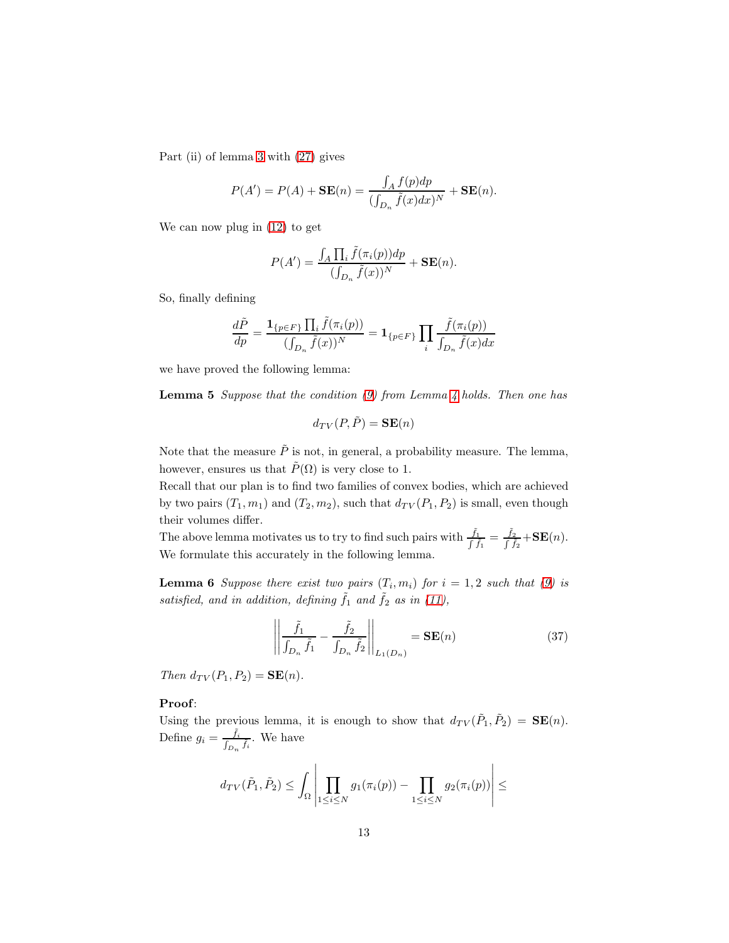Part (ii) of lemma [3](#page-6-2) with [\(27\)](#page-10-3) gives

$$
P(A') = P(A) + \mathbf{SE}(n) = \frac{\int_A f(p) dp}{(\int_{D_n} \tilde{f}(x) dx)^N} + \mathbf{SE}(n).
$$

We can now plug in [\(12\)](#page-8-2) to get

$$
P(A') = \frac{\int_A \prod_i \tilde{f}(\pi_i(p)) dp}{(\int_{D_n} \tilde{f}(x))^N} + \mathbf{SE}(n).
$$

So, finally defining

$$
\frac{d\tilde{P}}{dp} = \frac{\mathbf{1}_{\{p \in F\}} \prod_i \tilde{f}(\pi_i(p))}{(\int_{D_n} \tilde{f}(x))^N} = \mathbf{1}_{\{p \in F\}} \prod_i \frac{\tilde{f}(\pi_i(p))}{\int_{D_n} \tilde{f}(x) dx}
$$

we have proved the following lemma:

**Lemma 5** Suppose that the condition  $(9)$  from Lemma [4](#page-7-3) holds. Then one has

$$
d_{TV}(P, \tilde{P}) = \mathbf{SE}(n)
$$

Note that the measure  $\tilde{P}$  is not, in general, a probability measure. The lemma, however, ensures us that  $\tilde{P}(\Omega)$  is very close to 1.

Recall that our plan is to find two families of convex bodies, which are achieved by two pairs  $(T_1, m_1)$  and  $(T_2, m_2)$ , such that  $d_{TV}(P_1, P_2)$  is small, even though their volumes differ.

<span id="page-12-1"></span>The above lemma motivates us to try to find such pairs with  $\frac{\tilde{f}_1}{\int \tilde{f}_1} = \frac{\tilde{f}_2}{\int \tilde{f}_1}$  $\frac{J_2}{\int \tilde{f}_2} + \mathbf{SE}(n).$ We formulate this accurately in the following lemma.

**Lemma 6** Suppose there exist two pairs  $(T_i, m_i)$  for  $i = 1, 2$  such that [\(9\)](#page-7-2) is satisfied, and in addition, defining  $\tilde{f}_1$  and  $\tilde{f}_2$  as in [\(11\)](#page-8-1),

<span id="page-12-0"></span>
$$
\left\| \frac{\tilde{f}_1}{\int_{D_n} \tilde{f}_1} - \frac{\tilde{f}_2}{\int_{D_n} \tilde{f}_2} \right\|_{L_1(D_n)} = \mathbf{SE}(n) \tag{37}
$$

Then  $d_{TV}(P_1, P_2) = \mathbf{SE}(n)$ .

#### Proof:

Using the previous lemma, it is enough to show that  $d_{TV}(\tilde{P}_1, \tilde{P}_2) = \mathbf{SE}(n)$ . Define  $g_i = \frac{\tilde{f}_i}{f}$  $\frac{f_i}{\int_{D_n} \tilde{f}_i}$ . We have

$$
d_{TV}(\tilde{P}_1, \tilde{P}_2) \le \int_{\Omega} \left| \prod_{1 \le i \le N} g_1(\pi_i(p)) - \prod_{1 \le i \le N} g_2(\pi_i(p)) \right| \le
$$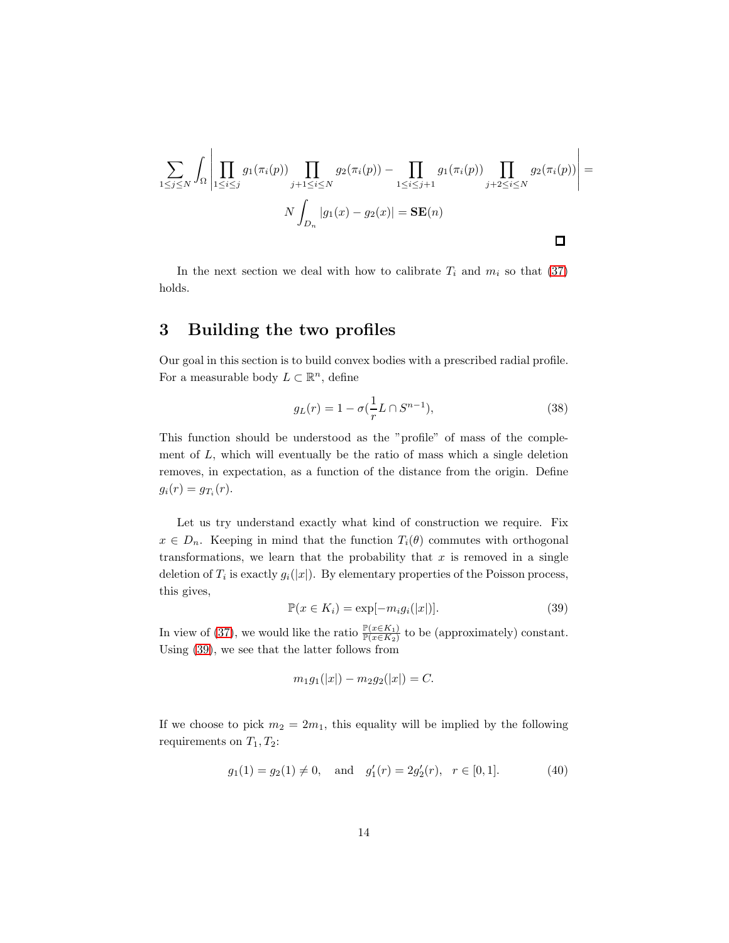$$
\sum_{1 \leq j \leq N} \int_{\Omega} \left| \prod_{1 \leq i \leq j} g_1(\pi_i(p)) \prod_{j+1 \leq i \leq N} g_2(\pi_i(p)) - \prod_{1 \leq i \leq j+1} g_1(\pi_i(p)) \prod_{j+2 \leq i \leq N} g_2(\pi_i(p)) \right| =
$$
  

$$
N \int_{D_n} |g_1(x) - g_2(x)| = \mathbf{SE}(n)
$$

In the next section we deal with how to calibrate  $T_i$  and  $m_i$  so that [\(37\)](#page-12-0) holds.

## 3 Building the two profiles

Our goal in this section is to build convex bodies with a prescribed radial profile. For a measurable body  $L \subset \mathbb{R}^n$ , define

<span id="page-13-2"></span>
$$
g_L(r) = 1 - \sigma(\frac{1}{r}L \cap S^{n-1}),
$$
\n(38)

This function should be understood as the "profile" of mass of the complement of  $L$ , which will eventually be the ratio of mass which a single deletion removes, in expectation, as a function of the distance from the origin. Define  $g_i(r) = g_{T_i}(r).$ 

Let us try understand exactly what kind of construction we require. Fix  $x \in D_n$ . Keeping in mind that the function  $T_i(\theta)$  commutes with orthogonal transformations, we learn that the probability that  $x$  is removed in a single deletion of  $T_i$  is exactly  $g_i(|x|)$ . By elementary properties of the Poisson process, this gives,

<span id="page-13-0"></span>
$$
\mathbb{P}(x \in K_i) = \exp[-m_i g_i(|x|)].\tag{39}
$$

In view of [\(37\)](#page-12-0), we would like the ratio  $\frac{\mathbb{P}(x \in K_1)}{\mathbb{P}(x \in K_2)}$  to be (approximately) constant. Using [\(39\)](#page-13-0), we see that the latter follows from

$$
m_1g_1(|x|) - m_2g_2(|x|) = C.
$$

If we choose to pick  $m_2 = 2m_1$ , this equality will be implied by the following requirements on  $T_1, T_2$ :

<span id="page-13-1"></span>
$$
g_1(1) = g_2(1) \neq 0
$$
, and  $g'_1(r) = 2g'_2(r)$ ,  $r \in [0, 1]$ . (40)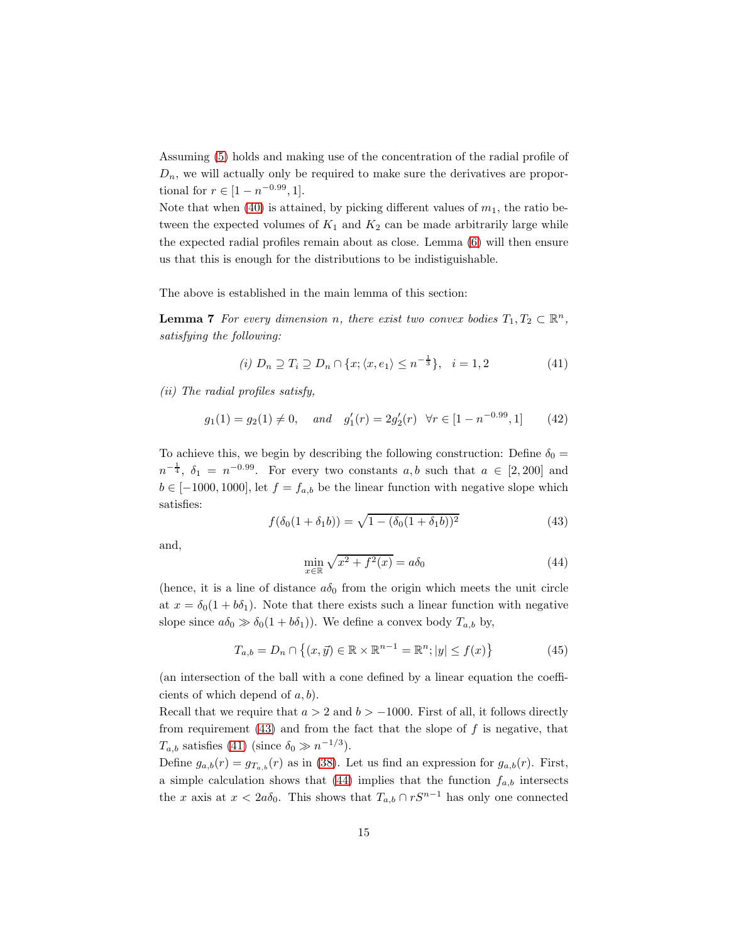Assuming [\(5\)](#page-6-0) holds and making use of the concentration of the radial profile of  $D_n$ , we will actually only be required to make sure the derivatives are proportional for  $r \in [1 - n^{-0.99}, 1]$ .

Note that when [\(40\)](#page-13-1) is attained, by picking different values of  $m_1$ , the ratio between the expected volumes of  $K_1$  and  $K_2$  can be made arbitrarily large while the expected radial profiles remain about as close. Lemma [\(6\)](#page-12-1) will then ensure us that this is enough for the distributions to be indistiguishable.

The above is established in the main lemma of this section:

**Lemma 7** For every dimension n, there exist two convex bodies  $T_1, T_2 \subset \mathbb{R}^n$ , satisfying the following:

<span id="page-14-4"></span><span id="page-14-1"></span>
$$
(i) D_n \supseteq T_i \supseteq D_n \cap \{x; \langle x, e_1 \rangle \le n^{-\frac{1}{3}}\}, \quad i = 1, 2 \tag{41}
$$

(ii) The radial profiles satisfy,

<span id="page-14-3"></span>
$$
g_1(1) = g_2(1) \neq 0
$$
, and  $g'_1(r) = 2g'_2(r) \quad \forall r \in [1 - n^{-0.99}, 1]$  (42)

To achieve this, we begin by describing the following construction: Define  $\delta_0 =$  $n^{-\frac{1}{4}}, \delta_1 = n^{-0.99}$ . For every two constants  $a, b$  such that  $a \in [2, 200]$  and  $b \in [-1000, 1000]$ , let  $f = f_{a,b}$  be the linear function with negative slope which satisfies:

<span id="page-14-0"></span>
$$
f(\delta_0(1+\delta_1 b)) = \sqrt{1 - (\delta_0(1+\delta_1 b))^2}
$$
\n(43)

and,

<span id="page-14-2"></span>
$$
\min_{x \in \mathbb{R}} \sqrt{x^2 + f^2(x)} = a\delta_0 \tag{44}
$$

(hence, it is a line of distance  $a\delta_0$  from the origin which meets the unit circle at  $x = \delta_0(1 + b\delta_1)$ . Note that there exists such a linear function with negative slope since  $a\delta_0 \gg \delta_0(1 + b\delta_1)$ . We define a convex body  $T_{a,b}$  by,

$$
T_{a,b} = D_n \cap \{(x, \vec{y}) \in \mathbb{R} \times \mathbb{R}^{n-1} = \mathbb{R}^n; |y| \le f(x)\}
$$
 (45)

(an intersection of the ball with a cone defined by a linear equation the coefficients of which depend of  $a, b$ ).

Recall that we require that  $a > 2$  and  $b > -1000$ . First of all, it follows directly from requirement  $(43)$  and from the fact that the slope of f is negative, that  $T_{a,b}$  satisfies [\(41\)](#page-14-1) (since  $\delta_0 \gg n^{-1/3}$ ).

Define  $g_{a,b}(r) = g_{T_{a,b}}(r)$  as in [\(38\)](#page-13-2). Let us find an expression for  $g_{a,b}(r)$ . First, a simple calculation shows that [\(44\)](#page-14-2) implies that the function  $f_{a,b}$  intersects the x axis at  $x < 2a\delta_0$ . This shows that  $T_{a,b} \cap rS^{n-1}$  has only one connected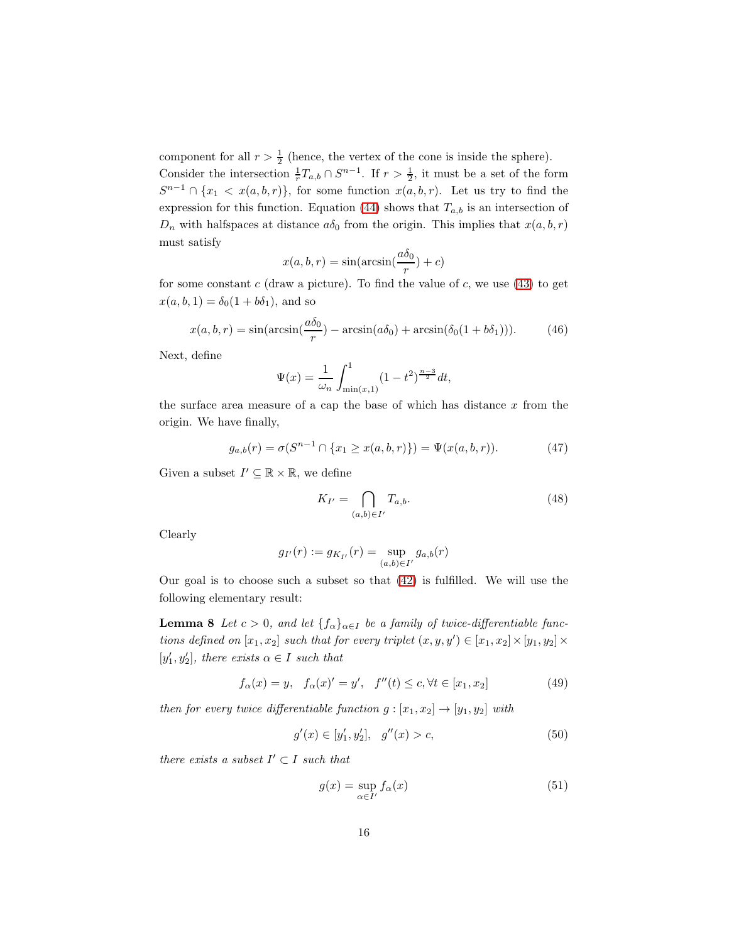component for all  $r > \frac{1}{2}$  (hence, the vertex of the cone is inside the sphere).

Consider the intersection  $\frac{1}{r}T_{a,b}\cap S^{n-1}$ . If  $r>\frac{1}{2}$ , it must be a set of the form  $S^{n-1} \cap \{x_1 \lt x(a, b, r)\},$  for some function  $x(a, b, r)$ . Let us try to find the expression for this function. Equation [\(44\)](#page-14-2) shows that  $T_{a,b}$  is an intersection of  $D_n$  with halfspaces at distance  $a\delta_0$  from the origin. This implies that  $x(a, b, r)$ must satisfy

$$
x(a, b, r) = \sin(\arcsin(\frac{a\delta_0}{r}) + c)
$$

for some constant c (draw a picture). To find the value of c, we use  $(43)$  to get  $x(a, b, 1) = \delta_0(1 + b\delta_1)$ , and so

<span id="page-15-0"></span>
$$
x(a, b, r) = \sin(\arcsin(\frac{a\delta_0}{r}) - \arcsin(a\delta_0) + \arcsin(\delta_0(1 + b\delta_1))).
$$
 (46)

Next, define

$$
\Psi(x) = \frac{1}{\omega_n} \int_{\min(x,1)}^1 (1 - t^2)^{\frac{n-3}{2}} dt,
$$

the surface area measure of a cap the base of which has distance  $x$  from the origin. We have finally,

$$
g_{a,b}(r) = \sigma(S^{n-1} \cap \{x_1 \ge x(a,b,r)\}) = \Psi(x(a,b,r)). \tag{47}
$$

Given a subset  $I' \subseteq \mathbb{R} \times \mathbb{R}$ , we define

<span id="page-15-2"></span>
$$
K_{I'} = \bigcap_{(a,b)\in I'} T_{a,b}.\tag{48}
$$

Clearly

$$
g_{I'}(r) := g_{K_{I'}}(r) = \sup_{(a,b)\in I'} g_{a,b}(r)
$$

<span id="page-15-1"></span>Our goal is to choose such a subset so that [\(42\)](#page-14-3) is fulfilled. We will use the following elementary result:

**Lemma 8** Let  $c > 0$ , and let  $\{f_{\alpha}\}_{{\alpha \in I}}$  be a family of twice-differentiable functions defined on  $[x_1, x_2]$  such that for every triplet  $(x, y, y') \in [x_1, x_2] \times [y_1, y_2] \times$  $[y'_1, y'_2]$ , there exists  $\alpha \in I$  such that

$$
f_{\alpha}(x) = y, \quad f_{\alpha}(x)' = y', \quad f''(t) \le c, \forall t \in [x_1, x_2]
$$
 (49)

then for every twice differentiable function  $g : [x_1, x_2] \rightarrow [y_1, y_2]$  with

$$
g'(x) \in [y'_1, y'_2], \quad g''(x) > c,\tag{50}
$$

there exists a subset  $I' \subset I$  such that

$$
g(x) = \sup_{\alpha \in I'} f_{\alpha}(x) \tag{51}
$$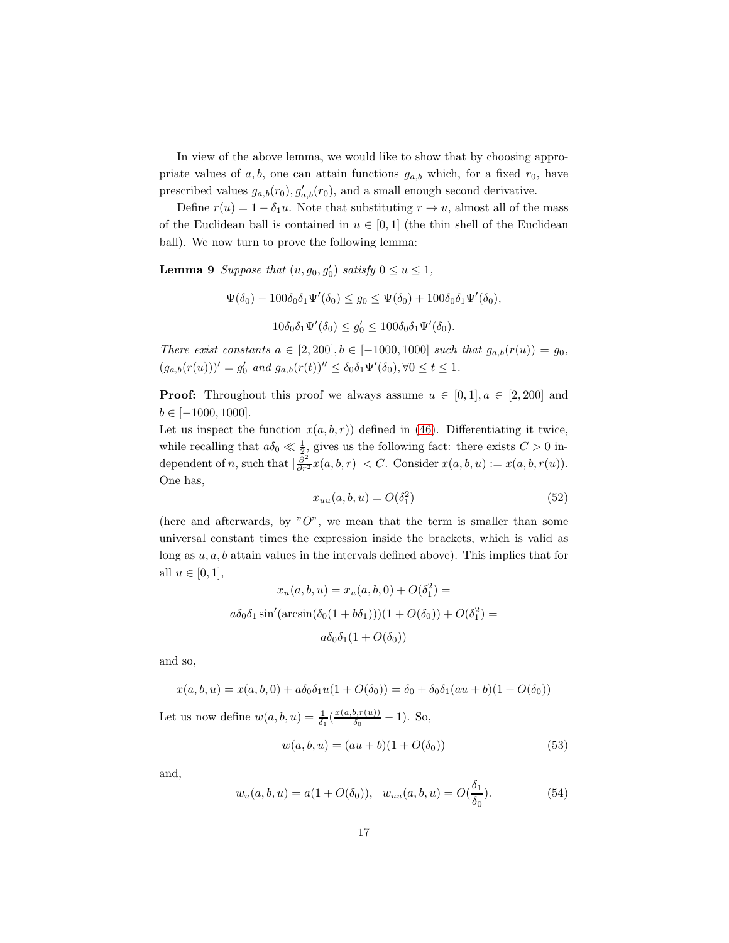In view of the above lemma, we would like to show that by choosing appropriate values of a, b, one can attain functions  $g_{a,b}$  which, for a fixed  $r_0$ , have prescribed values  $g_{a,b}(r_0), g'_{a,b}(r_0)$ , and a small enough second derivative.

<span id="page-16-1"></span>Define  $r(u) = 1 - \delta_1 u$ . Note that substituting  $r \to u$ , almost all of the mass of the Euclidean ball is contained in  $u \in [0,1]$  (the thin shell of the Euclidean ball). We now turn to prove the following lemma:

**Lemma 9** Suppose that  $(u, g_0, g'_0)$  satisfy  $0 \le u \le 1$ ,

$$
\Psi(\delta_0) - 100\delta_0 \delta_1 \Psi'(\delta_0) \le g_0 \le \Psi(\delta_0) + 100\delta_0 \delta_1 \Psi'(\delta_0),
$$

$$
10\delta_0\delta_1\Psi'(\delta_0)\leq g'_0\leq 100\delta_0\delta_1\Psi'(\delta_0).
$$

There exist constants  $a \in [2, 200], b \in [-1000, 1000]$  such that  $g_{a,b}(r(u)) = g_0$ ,  $(g_{a,b}(r(u)))' = g'_0$  and  $g_{a,b}(r(t))'' \leq \delta_0 \delta_1 \Psi'(\delta_0), \forall 0 \leq t \leq 1.$ 

**Proof:** Throughout this proof we always assume  $u \in [0, 1], a \in [2, 200]$  and  $b \in [-1000, 1000].$ 

Let us inspect the function  $x(a, b, r)$  defined in [\(46\)](#page-15-0). Differentiating it twice, while recalling that  $a\delta_0 \ll \frac{1}{2}$ , gives us the following fact: there exists  $C > 0$  independent of n, such that  $\left|\frac{\partial^2}{\partial r^2}x(a,b,r)\right| < C$ . Consider  $x(a,b,u) := x(a,b,r(u))$ . One has,

$$
x_{uu}(a,b,u) = O(\delta_1^2)
$$
\n
$$
(52)
$$

(here and afterwards, by  $"O"$ , we mean that the term is smaller than some universal constant times the expression inside the brackets, which is valid as long as  $u, a, b$  attain values in the intervals defined above). This implies that for all  $u \in [0,1],$ 

$$
x_u(a, b, u) = x_u(a, b, 0) + O(\delta_1^2) =
$$

$$
a\delta_0\delta_1 \sin'(\arcsin(\delta_0(1 + b\delta_1)))(1 + O(\delta_0)) + O(\delta_1^2) =
$$

$$
a\delta_0\delta_1(1 + O(\delta_0))
$$

and so,

$$
x(a, b, u) = x(a, b, 0) + a\delta_0 \delta_1 u (1 + O(\delta_0)) = \delta_0 + \delta_0 \delta_1 (au + b)(1 + O(\delta_0))
$$

Let us now define  $w(a, b, u) = \frac{1}{\delta_1} \left( \frac{x(a, b, r(u))}{\delta_0} \right)$  $\frac{\delta_0 F(u)}{\delta_0}$  – 1). So,

$$
w(a, b, u) = (au + b)(1 + O(\delta_0))
$$
\n(53)

and,

<span id="page-16-0"></span>
$$
w_u(a, b, u) = a(1 + O(\delta_0)), \quad w_{uu}(a, b, u) = O(\frac{\delta_1}{\delta_0}).
$$
\n(54)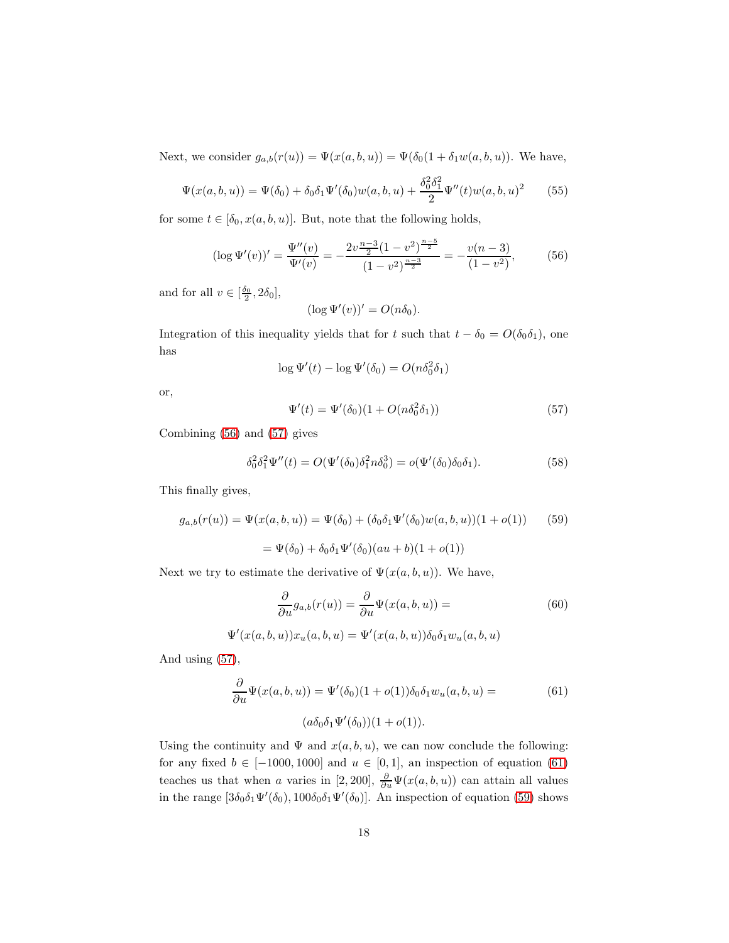Next, we consider  $g_{a,b}(r(u)) = \Psi(x(a, b, u)) = \Psi(\delta_0(1 + \delta_1 w(a, b, u))$ . We have,

$$
\Psi(x(a,b,u)) = \Psi(\delta_0) + \delta_0 \delta_1 \Psi'(\delta_0) w(a,b,u) + \frac{\delta_0^2 \delta_1^2}{2} \Psi''(t) w(a,b,u)^2 \tag{55}
$$

for some  $t\in [\delta_0, x(a,b,u)].$  But, note that the following holds,

<span id="page-17-0"></span>
$$
(\log \Psi'(v))' = \frac{\Psi''(v)}{\Psi'(v)} = -\frac{2v^{\frac{n-3}{2}}(1-v^2)^{\frac{n-5}{2}}}{(1-v^2)^{\frac{n-3}{2}}} = -\frac{v(n-3)}{(1-v^2)},
$$
(56)

and for all  $v \in [\frac{\delta_0}{2}, 2\delta_0],$ 

$$
(\log \Psi'(v))' = O(n\delta_0).
$$

Integration of this inequality yields that for t such that  $t - \delta_0 = O(\delta_0 \delta_1)$ , one has

$$
\log \Psi'(t) - \log \Psi'(\delta_0) = O(n\delta_0^2 \delta_1)
$$

or,

<span id="page-17-1"></span>
$$
\Psi'(t) = \Psi'(\delta_0)(1 + O(n\delta_0^2 \delta_1))\tag{57}
$$

Combining [\(56\)](#page-17-0) and [\(57\)](#page-17-1) gives

<span id="page-17-4"></span>
$$
\delta_0^2 \delta_1^2 \Psi''(t) = O(\Psi'(\delta_0) \delta_1^2 n \delta_0^3) = o(\Psi'(\delta_0) \delta_0 \delta_1). \tag{58}
$$

This finally gives,

<span id="page-17-3"></span>
$$
g_{a,b}(r(u)) = \Psi(x(a,b,u)) = \Psi(\delta_0) + (\delta_0 \delta_1 \Psi'(\delta_0) w(a,b,u))(1+o(1))
$$
(59)  
=  $\Psi(\delta_0) + \delta_0 \delta_1 \Psi'(\delta_0) (au+b)(1+o(1))$ 

Next we try to estimate the derivative of  $\Psi(x(a, b, u))$ . We have,

$$
\frac{\partial}{\partial u}g_{a,b}(r(u)) = \frac{\partial}{\partial u}\Psi(x(a,b,u)) = \tag{60}
$$

$$
\Psi'(x(a,b,u))x_u(a,b,u) = \Psi'(x(a,b,u))\delta_0\delta_1w_u(a,b,u)
$$

And using [\(57\)](#page-17-1),

<span id="page-17-2"></span>
$$
\frac{\partial}{\partial u}\Psi(x(a,b,u)) = \Psi'(\delta_0)(1+o(1))\delta_0\delta_1w_u(a,b,u) =
$$
  

$$
(a\delta_0\delta_1\Psi'(\delta_0))(1+o(1)).
$$
 (61)

Using the continuity and  $\Psi$  and  $x(a, b, u)$ , we can now conclude the following: for any fixed  $b \in [-1000, 1000]$  and  $u \in [0, 1]$ , an inspection of equation [\(61\)](#page-17-2) teaches us that when a varies in [2, 200],  $\frac{\partial}{\partial u}\Psi(x(a,b,u))$  can attain all values in the range  $[3\delta_0\delta_1\Psi'(\delta_0), 100\delta_0\delta_1\Psi'(\delta_0)]$ . An inspection of equation [\(59\)](#page-17-3) shows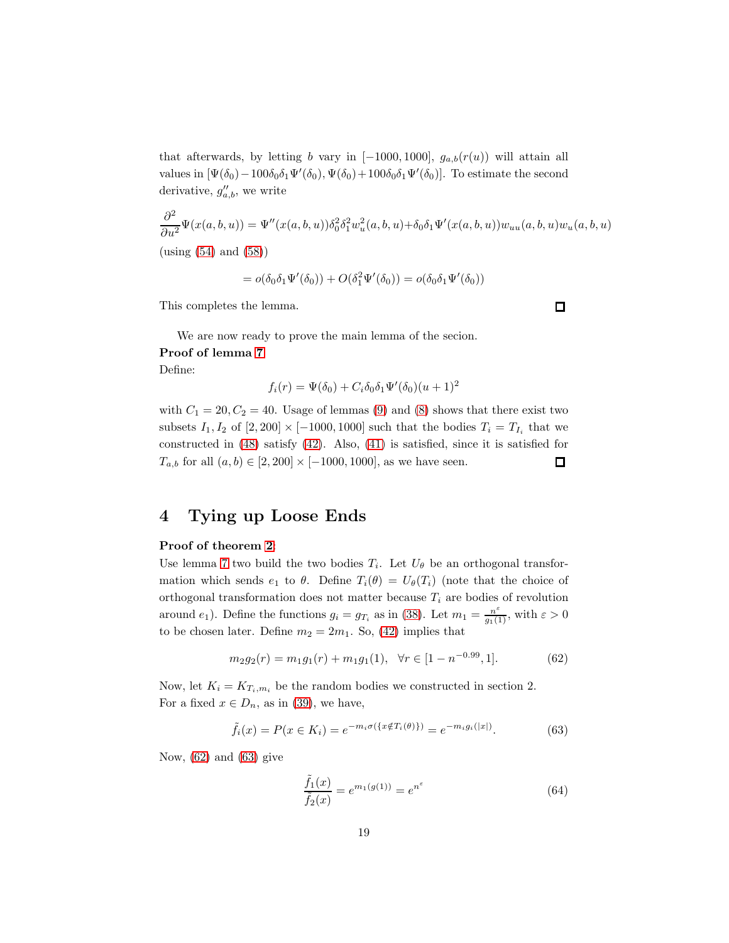that afterwards, by letting b vary in  $[-1000, 1000]$ ,  $g_{a,b}(r(u))$  will attain all values in  $[\Psi(\delta_0) - 100\delta_0\delta_1\Psi'(\delta_0), \Psi(\delta_0) + 100\delta_0\delta_1\Psi'(\delta_0)]$ . To estimate the second derivative,  $g''_{a,b}$ , we write

$$
\frac{\partial^2}{\partial u^2} \Psi(x(a,b,u)) = \Psi''(x(a,b,u)) \delta_0^2 \delta_1^2 w_u^2(a,b,u) + \delta_0 \delta_1 \Psi'(x(a,b,u)) w_{uu}(a,b,u) w_u(a,b,u)
$$
  
(using (54) and (58))

$$
= o(\delta_0 \delta_1 \Psi'(\delta_0)) + O(\delta_1^2 \Psi'(\delta_0)) = o(\delta_0 \delta_1 \Psi'(\delta_0))
$$

This completes the lemma.

We are now ready to prove the main lemma of the secion.

#### Proof of lemma [7](#page-14-4)

Define:

$$
f_i(r) = \Psi(\delta_0) + C_i \delta_0 \delta_1 \Psi'(\delta_0) (u+1)^2
$$

with  $C_1 = 20, C_2 = 40$ . Usage of lemmas [\(9\)](#page-16-1) and [\(8\)](#page-15-1) shows that there exist two subsets  $I_1, I_2$  of  $[2, 200] \times [-1000, 1000]$  such that the bodies  $T_i = T_{I_i}$  that we constructed in [\(48\)](#page-15-2) satisfy [\(42\)](#page-14-3). Also, [\(41\)](#page-14-1) is satisfied, since it is satisfied for  $T_{a,b}$  for all  $(a, b) \in [2, 200] \times [-1000, 1000]$ , as we have seen.  $\Box$ 

## 4 Tying up Loose Ends

#### Proof of theorem [2](#page-2-0):

Use lemma [7](#page-14-4) two build the two bodies  $T_i$ . Let  $U_{\theta}$  be an orthogonal transformation which sends  $e_1$  to  $\theta$ . Define  $T_i(\theta) = U_{\theta}(T_i)$  (note that the choice of orthogonal transformation does not matter because  $T_i$  are bodies of revolution around  $e_1$ ). Define the functions  $g_i = g_{T_i}$  as in [\(38\)](#page-13-2). Let  $m_1 = \frac{n^{\varepsilon}}{g_1(1)}$ , with  $\varepsilon > 0$ to be chosen later. Define  $m_2 = 2m_1$ . So, [\(42\)](#page-14-3) implies that

<span id="page-18-0"></span>
$$
m_2 g_2(r) = m_1 g_1(r) + m_1 g_1(1), \quad \forall r \in [1 - n^{-0.99}, 1]. \tag{62}
$$

Now, let  $K_i = K_{T_i,m_i}$  be the random bodies we constructed in section 2. For a fixed  $x \in D_n$ , as in [\(39\)](#page-13-0), we have,

<span id="page-18-1"></span>
$$
\tilde{f}_i(x) = P(x \in K_i) = e^{-m_i \sigma(\{x \notin T_i(\theta)\})} = e^{-m_i g_i(|x|)}.
$$
\n(63)

Now,  $(62)$  and  $(63)$  give

<span id="page-18-2"></span>
$$
\frac{\tilde{f}_1(x)}{\tilde{f}_2(x)} = e^{m_1(g(1))} = e^{n^{\varepsilon}}
$$
\n(64)

 $\Box$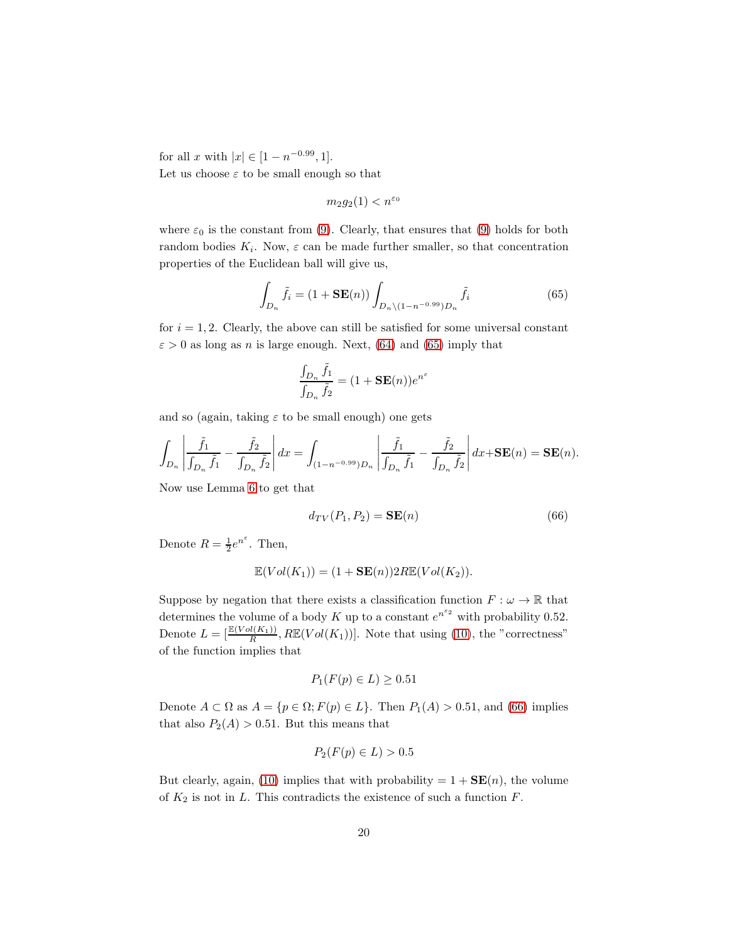for all x with  $|x| \in [1 - n^{-0.99}, 1]$ . Let us choose  $\varepsilon$  to be small enough so that

$$
m_2 g_2(1) < n^{\varepsilon_0}
$$

where  $\varepsilon_0$  is the constant from [\(9\)](#page-7-2). Clearly, that ensures that (9) holds for both random bodies  $K_i$ . Now,  $\varepsilon$  can be made further smaller, so that concentration properties of the Euclidean ball will give us,

<span id="page-19-0"></span>
$$
\int_{D_n} \tilde{f}_i = (1 + \mathbf{SE}(n)) \int_{D_n \setminus (1 - n^{-0.99}) D_n} \tilde{f}_i
$$
\n(65)

for  $i = 1, 2$ . Clearly, the above can still be satisfied for some universal constant  $\varepsilon > 0$  as long as n is large enough. Next, [\(64\)](#page-18-2) and [\(65\)](#page-19-0) imply that

$$
\frac{\int_{D_n} \tilde{f}_1}{\int_{D_n} \tilde{f}_2} = (1 + \mathbf{SE}(n))e^{n^{\varepsilon}}
$$

and so (again, taking  $\varepsilon$  to be small enough) one gets

$$
\int_{D_n} \left| \frac{\tilde{f}_1}{\int_{D_n} \tilde{f}_1} - \frac{\tilde{f}_2}{\int_{D_n} \tilde{f}_2} \right| dx = \int_{(1-n^{-0.99})D_n} \left| \frac{\tilde{f}_1}{\int_{D_n} \tilde{f}_1} - \frac{\tilde{f}_2}{\int_{D_n} \tilde{f}_2} \right| dx + \mathbf{SE}(n) = \mathbf{SE}(n).
$$

Now use Lemma [6](#page-12-1) to get that

<span id="page-19-1"></span>
$$
d_{TV}(P_1, P_2) = \mathbf{SE}(n) \tag{66}
$$

Denote  $R = \frac{1}{2}e^{n^{\varepsilon}}$ . Then,

$$
\mathbb{E}(Vol(K_1)) = (1 + \mathbf{SE}(n))2R\mathbb{E}(Vol(K_2)).
$$

Suppose by negation that there exists a classification function  $F : \omega \to \mathbb{R}$  that determines the volume of a body K up to a constant  $e^{n^{\epsilon_2}}$  with probability 0.52. Denote  $L = \left[\frac{\mathbb{E}(Vol(K_1))}{R}, R\mathbb{E}(Vol(K_1))\right]$ . Note that using [\(10\)](#page-7-4), the "correctness" of the function implies that

$$
P_1(F(p) \in L) \ge 0.51
$$

Denote  $A \subset \Omega$  as  $A = \{p \in \Omega; F(p) \in L\}$ . Then  $P_1(A) > 0.51$ , and [\(66\)](#page-19-1) implies that also  $P_2(A) > 0.51$ . But this means that

$$
P_2(F(p) \in L) > 0.5
$$

But clearly, again, [\(10\)](#page-7-4) implies that with probability  $= 1 + SE(n)$ , the volume of  $K_2$  is not in L. This contradicts the existence of such a function  $F$ .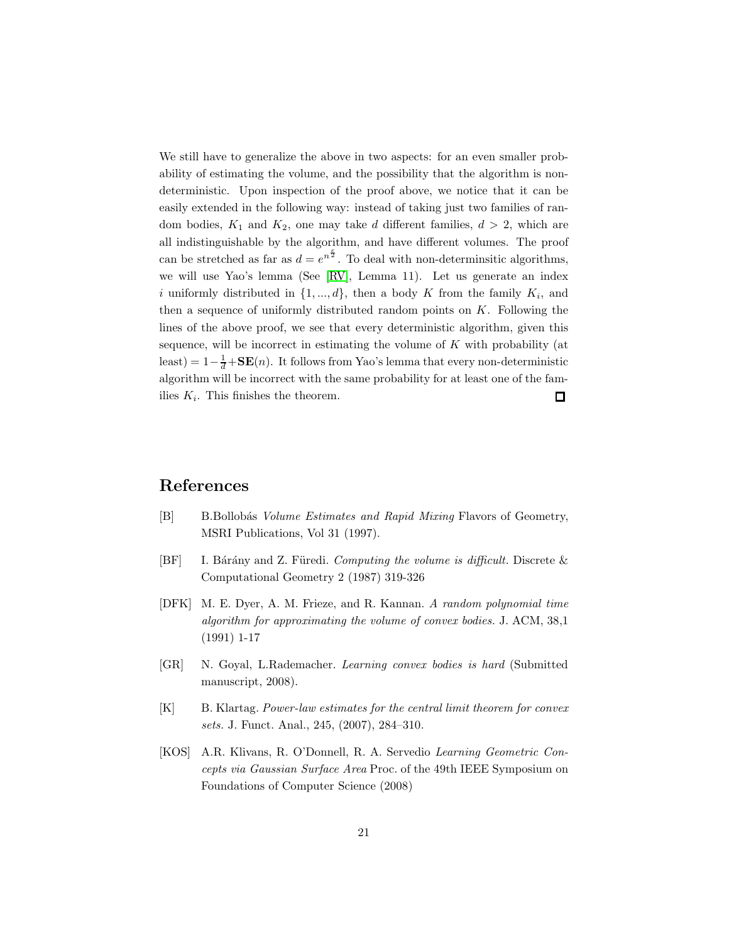We still have to generalize the above in two aspects: for an even smaller probability of estimating the volume, and the possibility that the algorithm is nondeterministic. Upon inspection of the proof above, we notice that it can be easily extended in the following way: instead of taking just two families of random bodies,  $K_1$  and  $K_2$ , one may take d different families,  $d > 2$ , which are all indistinguishable by the algorithm, and have different volumes. The proof can be stretched as far as  $d = e^{n^{\frac{\epsilon}{2}}}$ . To deal with non-determinsitic algorithms, we will use Yao's lemma (See [\[RV\]](#page-21-3), Lemma 11). Let us generate an index i uniformly distributed in  $\{1, ..., d\}$ , then a body K from the family  $K_i$ , and then a sequence of uniformly distributed random points on  $K$ . Following the lines of the above proof, we see that every deterministic algorithm, given this sequence, will be incorrect in estimating the volume of  $K$  with probability (at least) =  $1 - \frac{1}{d} + SE(n)$ . It follows from Yao's lemma that every non-deterministic algorithm will be incorrect with the same probability for at least one of the families  $K_i$ . This finishes the theorem.  $\Box$ 

## References

- <span id="page-20-0"></span>[B] B.Bollobás Volume Estimates and Rapid Mixing Flavors of Geometry, MSRI Publications, Vol 31 (1997).
- <span id="page-20-1"></span>[BF] I. Bárány and Z. Füredi. Computing the volume is difficult. Discrete  $\&$ Computational Geometry 2 (1987) 319-326
- <span id="page-20-2"></span>[DFK] M. E. Dyer, A. M. Frieze, and R. Kannan. A random polynomial time algorithm for approximating the volume of convex bodies. J. ACM, 38,1 (1991) 1-17
- <span id="page-20-3"></span>[GR] N. Goyal, L.Rademacher. Learning convex bodies is hard (Submitted manuscript, 2008).
- <span id="page-20-4"></span>[K] B. Klartag. Power-law estimates for the central limit theorem for convex sets. J. Funct. Anal., 245, (2007), 284–310.
- <span id="page-20-5"></span>[KOS] A.R. Klivans, R. O'Donnell, R. A. Servedio Learning Geometric Concepts via Gaussian Surface Area Proc. of the 49th IEEE Symposium on Foundations of Computer Science (2008)